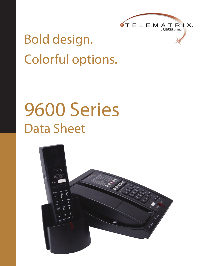

## Bold design. Colorful options.

# 9600 Series Data Sheet

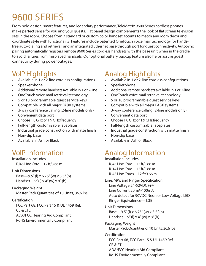## 9600 SERIES

From bold design, smart features, and legendary performance, TeleMatrix 9600 Series cordless phones make perfect sense for you and your guests. Flat panel design complements the look of flat screen television sets in the room. Choose from 7 standard or custom color handset accents to match any room décor and coordinate style with functionality. Features include patented OneTouch voice mail technology for handsfree auto-dialing and retrieval, and an integrated Ethernet pass-through port for guest connectivity. AutoSync pairing automatically registers remote 9600 Series cordless handsets with the base unit when in the cradle to avoid failures from misplaced handsets. Our optional battery backup feature also helps assure guest connectivity during power outages.

#### VoIP Highlights

- Available in 1 or 2-line cordless configurations
- **Speakerphone**
- Additional remote handsets available in 1 or 2-line
- OneTouch voice mail retrieval technology
- 5 or 10 programmable guest service keys
- Compatible with all major PABX systems
- 3-way conference calling (2-line models only)
- Convenient data port
- Choose 1.8 GHz or 1.9 GHz frequency
- Full-length customizable faceplates
- Industrial grade construction with matte finish
- Non-slip base
- Available in Ash or Black

### VoIP Information

Installation Includes RJ45 Line Cord—12 ft/3.66 m

Unit Dimensions Base—9.5" (l) x 6.75" (w) x 3.5" (h) Handset—5" (I)  $\times$  4" (w)  $\times$  8" (h)

#### Packaging Weight Master Pack Quantities of 10 Units, 36.6 lbs

#### **Certification**

FCC Part 68, FCC Part 15 & UL 1459 Ref. CE & ETL ADA/FCC Hearing Aid Compliant RoHS Environmentally Compliant

### Analog Highlights

- Available in 1 or 2-line cordless configurations
- **Speakerphone**
- Additional remote handsets available in 1 or 2-line
- OneTouch voice mail retrieval technology
- 5 or 10 programmable guest service keys
- Compatible with all major PABX systems
- 3-way conference calling (2-line models only)
- Convenient data port
- Choose 1.8 GHz or 1.9 GHz frequency
- Full-length customizable faceplates
- Industrial grade construction with matte finish
- Non-slip base
- Available in Ash or Black

### Analog Information

Installation Includes RJ45 Line Cord—12 ft/3.66 m RJ14 Line Cord—12 ft/3.66 m RJ45 Line Cords—12 ft/3.66 m

- Line, MW, and Ringer Specification Line Voltage 24-52VDC (+/-) Line Current 20mA-100mA Auto detect for 90VDC Neon or Low Voltage LED Ringer Equivalence—1.3B
- Unit Dimensions Base—9.5" (l) x 6.75" (w) x 3.5" (h) Handset—5" (I)  $\times$  4" (w)  $\times$  8" (h)
- Packaging Weight Master Pack Quantities of 10 Units, 36.6 lbs
- **Certification** FCC Part 68, FCC Part 15 & UL 1459 Ref. CE & ETL ADA/FCC Hearing Aid Compliant RoHS Environmentally Compliant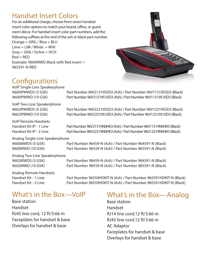#### Handset Insert Colors

For an additional charge, choose from seven handset insert color options to match your brand, office, or guest room décor. For handset insert color part numbers, add the following suffixes at the end of the ash or black part number. Orange = ORG / Blue = BLU  $Lime = LIM / White = WHI$ Gray = GRA / Ochre = OCH  $Red = RED$ Example: 9600MWD Black with Red insert = 965591-N-RED



#### **Configurations**

VoIP Single-Line Speakerphone

9600IPMWD5 (5 GSK) Part Number 96V21319S5D3 (Ash) / Part Number 96V11319S5D3 (Black) 9600IPMWD (10 GSK) Part Number 96V21319S10D3 (Ash) / Part Number 96V11319S10D3 (Black)

VoIP Two-Line Speakerphone 9602IPMWD5 (5 GSK) Part Number 96V22319S5D3 (Ash) / Part Number 96V12319S5D3 (Black)

9602IPMWD (10 GSK) Part Number 96V22319S10D3 (Ash) / Part Number 96V12319S10D3 (Black)

VoIP Remote Handsets

Handset Kit IP - 1 Line Part Number 96V21319N0HK3 (Ash) / Part Number 96V11319N0HK3 (Black) Handset Kit IP - 2 Line Part Number 96V22319N0HK3 (Ash) / Part Number 96V12319N0HK3 (Black)

Analog Single-Line Speakerphone

9600MWD5 (5 GSK) Part Number 96459-N (Ash) / Part Number 964591-N (Black) 9600MWD (10 GSK) Part Number 96559-N (Ash) / Part Number 965591-N (Black)

Analog Two-Line Speakerphone

Analog Remote Handsets

9602MWD5 (5 GSK) Part Number 98459-N (Ash) / Part Number 984591-N (Black) 9602MWD (10 GSK) Part Number 98559-N (Ash) / Part Number 985591-N (Black)

Handset Kit - 1 Line Part Number 96559HDKIT-N (Ash) / Part Number 965591HDKIT-N (Black) Handset Kit - 2 Line Part Number 98559HDKIT-N (Ash) / Part Number 985591HDKIT-N (Black)

#### What's in the Box—VoIP

Base station Handset RJ45 line cord, 12 ft/3.66 m Faceplates for handset & base Overlays for handset & base

#### What's in the Box—Analog

Base station Handset RJ14 line cord,12 ft/3.66 m RJ45 line cord,12 ft/3.66 m AC Adaptor Faceplates for handset & base Overlays for handset & base